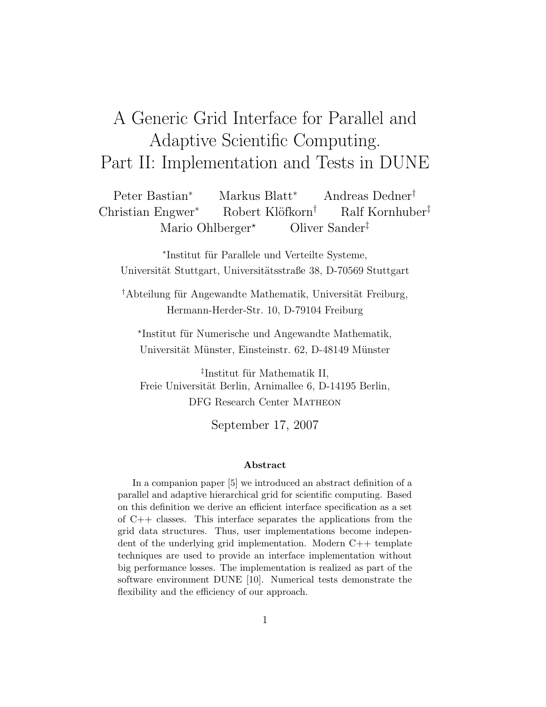# A Generic Grid Interface for Parallel and Adaptive Scientific Computing. Part II: Implementation and Tests in DUNE

Peter Bastian<sup>∗</sup> Markus Blatt<sup>∗</sup> Andreas Dedner† Christian Engwer<sup>∗</sup> Robert Klöfkorn<sup>†</sup> Ralf Kornhuber<sup>‡</sup> Mario Ohlberger<sup>\*</sup> Oliver Sander‡

<sup>∗</sup>Institut f¨ur Parallele und Verteilte Systeme, Universität Stuttgart, Universitätsstraße 38, D-70569 Stuttgart

<sup>†</sup>Abteilung für Angewandte Mathematik, Universität Freiburg, Hermann-Herder-Str. 10, D-79104 Freiburg

\*Institut für Numerische und Angewandte Mathematik, Universität Münster, Einsteinstr. 62, D-48149 Münster

 $\ddagger$ Institut für Mathematik II, Freie Universität Berlin, Arnimallee 6, D-14195 Berlin, DFG Research Center MATHEON

September 17, 2007

#### **Abstract**

In a companion paper [5] we introduced an abstract definition of a parallel and adaptive hierarchical grid for scientific computing. Based on this definition we derive an efficient interface specification as a set of C++ classes. This interface separates the applications from the grid data structures. Thus, user implementations become independent of the underlying grid implementation. Modern C++ template techniques are used to provide an interface implementation without big performance losses. The implementation is realized as part of the software environment DUNE [10]. Numerical tests demonstrate the flexibility and the efficiency of our approach.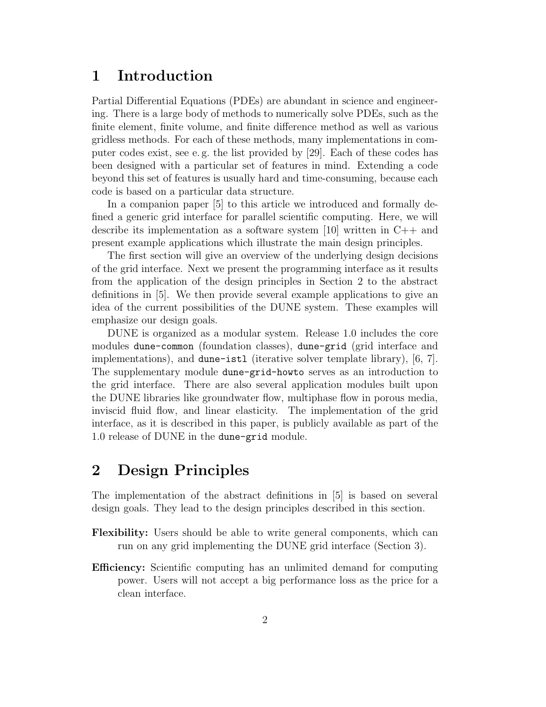## **1 Introduction**

Partial Differential Equations (PDEs) are abundant in science and engineering. There is a large body of methods to numerically solve PDEs, such as the finite element, finite volume, and finite difference method as well as various gridless methods. For each of these methods, many implementations in computer codes exist, see e. g. the list provided by [29]. Each of these codes has been designed with a particular set of features in mind. Extending a code beyond this set of features is usually hard and time-consuming, because each code is based on a particular data structure.

In a companion paper [5] to this article we introduced and formally defined a generic grid interface for parallel scientific computing. Here, we will describe its implementation as a software system [10] written in  $C++$  and present example applications which illustrate the main design principles.

The first section will give an overview of the underlying design decisions of the grid interface. Next we present the programming interface as it results from the application of the design principles in Section 2 to the abstract definitions in [5]. We then provide several example applications to give an idea of the current possibilities of the DUNE system. These examples will emphasize our design goals.

DUNE is organized as a modular system. Release 1.0 includes the core modules dune-common (foundation classes), dune-grid (grid interface and implementations), and dune-istl (iterative solver template library), [6, 7]. The supplementary module dune-grid-howto serves as an introduction to the grid interface. There are also several application modules built upon the DUNE libraries like groundwater flow, multiphase flow in porous media, inviscid fluid flow, and linear elasticity. The implementation of the grid interface, as it is described in this paper, is publicly available as part of the 1.0 release of DUNE in the dune-grid module.

# **2 Design Principles**

The implementation of the abstract definitions in [5] is based on several design goals. They lead to the design principles described in this section.

- **Flexibility:** Users should be able to write general components, which can run on any grid implementing the DUNE grid interface (Section 3).
- **Efficiency:** Scientific computing has an unlimited demand for computing power. Users will not accept a big performance loss as the price for a clean interface.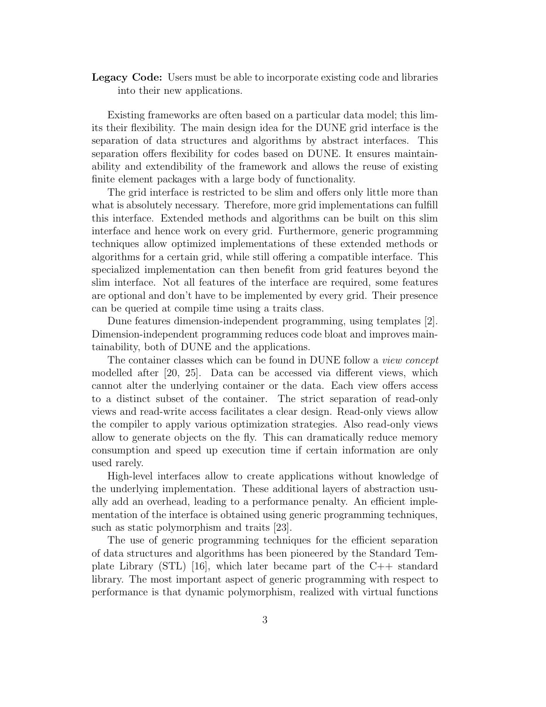#### **Legacy Code:** Users must be able to incorporate existing code and libraries into their new applications.

Existing frameworks are often based on a particular data model; this limits their flexibility. The main design idea for the DUNE grid interface is the separation of data structures and algorithms by abstract interfaces. This separation offers flexibility for codes based on DUNE. It ensures maintainability and extendibility of the framework and allows the reuse of existing finite element packages with a large body of functionality.

The grid interface is restricted to be slim and offers only little more than what is absolutely necessary. Therefore, more grid implementations can fulfill this interface. Extended methods and algorithms can be built on this slim interface and hence work on every grid. Furthermore, generic programming techniques allow optimized implementations of these extended methods or algorithms for a certain grid, while still offering a compatible interface. This specialized implementation can then benefit from grid features beyond the slim interface. Not all features of the interface are required, some features are optional and don't have to be implemented by every grid. Their presence can be queried at compile time using a traits class.

Dune features dimension-independent programming, using templates [2]. Dimension-independent programming reduces code bloat and improves maintainability, both of DUNE and the applications.

The container classes which can be found in DUNE follow a view concept modelled after [20, 25]. Data can be accessed via different views, which cannot alter the underlying container or the data. Each view offers access to a distinct subset of the container. The strict separation of read-only views and read-write access facilitates a clear design. Read-only views allow the compiler to apply various optimization strategies. Also read-only views allow to generate objects on the fly. This can dramatically reduce memory consumption and speed up execution time if certain information are only used rarely.

High-level interfaces allow to create applications without knowledge of the underlying implementation. These additional layers of abstraction usually add an overhead, leading to a performance penalty. An efficient implementation of the interface is obtained using generic programming techniques, such as static polymorphism and traits [23].

The use of generic programming techniques for the efficient separation of data structures and algorithms has been pioneered by the Standard Template Library (STL) [16], which later became part of the  $C_{++}$  standard library. The most important aspect of generic programming with respect to performance is that dynamic polymorphism, realized with virtual functions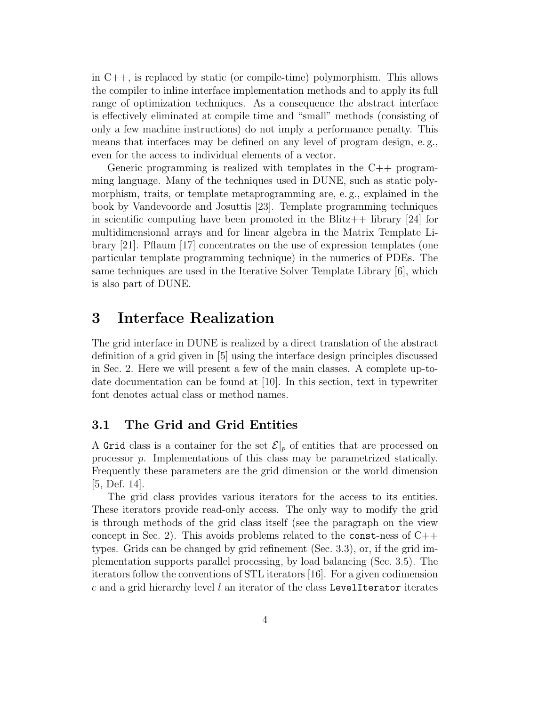in C++, is replaced by static (or compile-time) polymorphism. This allows the compiler to inline interface implementation methods and to apply its full range of optimization techniques. As a consequence the abstract interface is effectively eliminated at compile time and "small" methods (consisting of only a few machine instructions) do not imply a performance penalty. This means that interfaces may be defined on any level of program design, e. g., even for the access to individual elements of a vector.

Generic programming is realized with templates in the C++ programming language. Many of the techniques used in DUNE, such as static polymorphism, traits, or template metaprogramming are, e. g., explained in the book by Vandevoorde and Josuttis [23]. Template programming techniques in scientific computing have been promoted in the Blitz $++$  library [24] for multidimensional arrays and for linear algebra in the Matrix Template Library [21]. Pflaum [17] concentrates on the use of expression templates (one particular template programming technique) in the numerics of PDEs. The same techniques are used in the Iterative Solver Template Library [6], which is also part of DUNE.

## **3 Interface Realization**

The grid interface in DUNE is realized by a direct translation of the abstract definition of a grid given in [5] using the interface design principles discussed in Sec. 2. Here we will present a few of the main classes. A complete up-todate documentation can be found at [10]. In this section, text in typewriter font denotes actual class or method names.

#### **3.1 The Grid and Grid Entities**

A Grid class is a container for the set  $\mathcal{E}|_p$  of entities that are processed on processor  $p$ . Implementations of this class may be parametrized statically. Frequently these parameters are the grid dimension or the world dimension [5, Def. 14].

The grid class provides various iterators for the access to its entities. These iterators provide read-only access. The only way to modify the grid is through methods of the grid class itself (see the paragraph on the view concept in Sec. 2). This avoids problems related to the const-ness of  $C_{++}$ types. Grids can be changed by grid refinement (Sec. 3.3), or, if the grid implementation supports parallel processing, by load balancing (Sec. 3.5). The iterators follow the conventions of STL iterators [16]. For a given codimension  $c$  and a grid hierarchy level  $l$  an iterator of the class LevelIterator iterates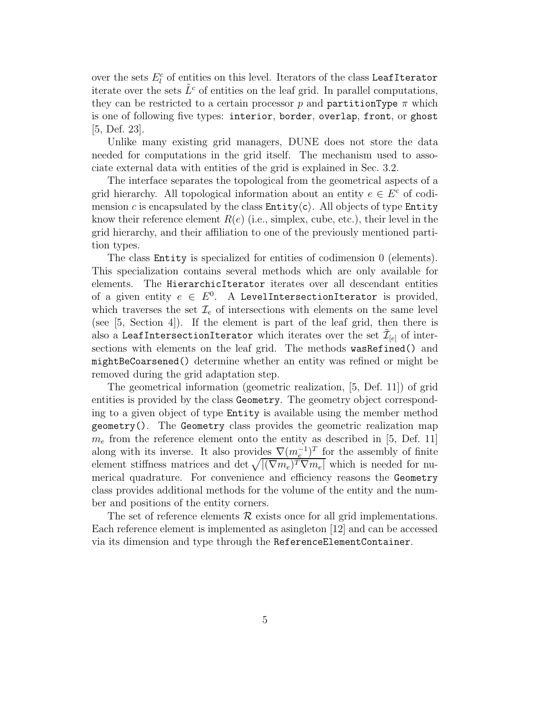over the sets  $E_l^c$  of entities on this level. Iterators of the class LeafIterator iterate over the sets  $L^c$  of entities on the leaf grid. In parallel computations, they can be restricted to a certain processor p and partitionType  $\pi$  which is one of following five types: interior, border, overlap, front, or ghost [5, Def. 23].

Unlike many existing grid managers, DUNE does not store the data needed for computations in the grid itself. The mechanism used to associate external data with entities of the grid is explained in Sec. 3.2.

The interface separates the topological from the geometrical aspects of a grid hierarchy. All topological information about an entity  $e \in E^c$  of codimension c is encapsulated by the class  $Entity(c)$ . All objects of type Entity know their reference element  $R(e)$  (i.e., simplex, cube, etc.), their level in the grid hierarchy, and their affiliation to one of the previously mentioned partition types.

The class Entity is specialized for entities of codimension 0 (elements). This specialization contains several methods which are only available for elements. The HierarchicIterator iterates over all descendant entities of a given entity  $e \in E^0$ . A LevelIntersectionIterator is provided, which traverses the set  $\mathcal{I}_e$  of intersections with elements on the same level (see [5, Section 4]). If the element is part of the leaf grid, then there is also a LeafIntersectionIterator which iterates over the set  $\mathcal{I}_{[e]}$  of intersections with elements on the leaf grid. The methods wasRefined() and mightBeCoarsened() determine whether an entity was refined or might be removed during the grid adaptation step.

The geometrical information (geometric realization, [5, Def. 11]) of grid entities is provided by the class Geometry. The geometry object corresponding to a given object of type Entity is available using the member method geometry(). The Geometry class provides the geometric realization map  $m_e$  from the reference element onto the entity as described in [5, Def. 11] along with its inverse. It also provides  $\nabla (m_e^{-1})^T$  for the assembly of finite element stiffness matrices and det  $\sqrt{((\nabla m_e)^T \nabla m_e)}$  which is needed for numerical quadrature. For convenience and efficiency reasons the Geometry class provides additional methods for the volume of the entity and the number and positions of the entity corners.

The set of reference elements  $R$  exists once for all grid implementations. Each reference element is implemented as asingleton [12] and can be accessed via its dimension and type through the ReferenceElementContainer.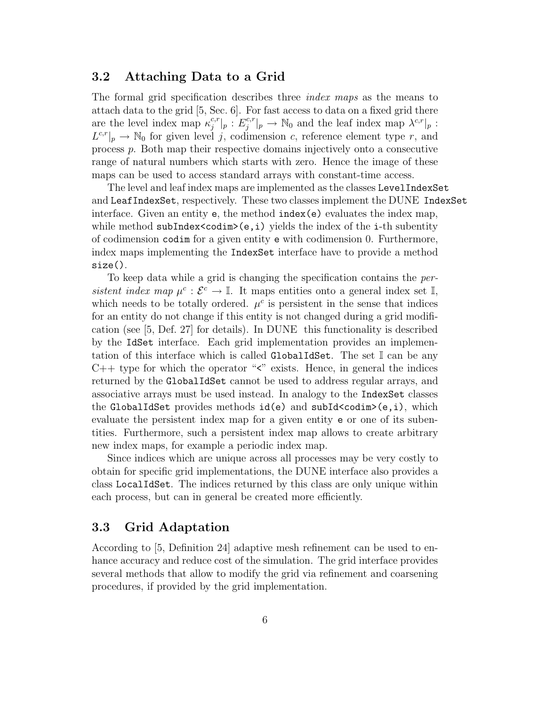#### **3.2 Attaching Data to a Grid**

The formal grid specification describes three *index maps* as the means to attach data to the grid [5, Sec. 6]. For fast access to data on a fixed grid there are the level index map  $\kappa_j^{c,r}|_p : E_j^{c,r}|_p \to \mathbb{N}_0$  and the leaf index map  $\lambda^{c,r}|_p$ :  $L^{c,r}|_p \to \mathbb{N}_0$  for given level j, codimension c, reference element type r, and process  $p$ . Both map their respective domains injectively onto a consecutive range of natural numbers which starts with zero. Hence the image of these maps can be used to access standard arrays with constant-time access.

The level and leaf index maps are implemented as the classes LevelIndexSet and LeafIndexSet, respectively. These two classes implement the DUNE IndexSet interface. Given an entity  $e$ , the method index $(e)$  evaluates the index map, while method subIndex $\leq$ codim $(\epsilon, i)$  yields the index of the i-th subentity of codimension codim for a given entity e with codimension 0. Furthermore, index maps implementing the IndexSet interface have to provide a method size().

To keep data while a grid is changing the specification contains the persistent index map  $\mu^c : \mathcal{E}^c \to \mathbb{I}$ . It maps entities onto a general index set  $\mathbb{I}$ , which needs to be totally ordered.  $\mu^c$  is persistent in the sense that indices for an entity do not change if this entity is not changed during a grid modification (see [5, Def. 27] for details). In DUNE this functionality is described by the IdSet interface. Each grid implementation provides an implementation of this interface which is called GlobalIdSet. The set I can be any  $C++$  type for which the operator " $\leq$ " exists. Hence, in general the indices returned by the GlobalIdSet cannot be used to address regular arrays, and associative arrays must be used instead. In analogy to the IndexSet classes the GlobalIdSet provides methods  $id(e)$  and  $subId < colm>(e,i)$ , which evaluate the persistent index map for a given entity e or one of its subentities. Furthermore, such a persistent index map allows to create arbitrary new index maps, for example a periodic index map.

Since indices which are unique across all processes may be very costly to obtain for specific grid implementations, the DUNE interface also provides a class LocalIdSet. The indices returned by this class are only unique within each process, but can in general be created more efficiently.

#### **3.3 Grid Adaptation**

According to [5, Definition 24] adaptive mesh refinement can be used to enhance accuracy and reduce cost of the simulation. The grid interface provides several methods that allow to modify the grid via refinement and coarsening procedures, if provided by the grid implementation.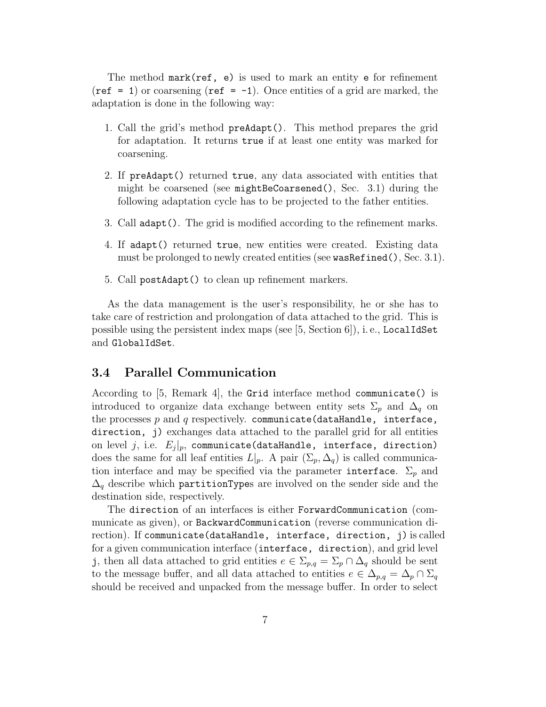The method  $mark(ref, e)$  is used to mark an entity e for refinement (ref = 1) or coarsening (ref = -1). Once entities of a grid are marked, the adaptation is done in the following way:

- 1. Call the grid's method preAdapt(). This method prepares the grid for adaptation. It returns true if at least one entity was marked for coarsening.
- 2. If preAdapt() returned true, any data associated with entities that might be coarsened (see mightBeCoarsened(), Sec. 3.1) during the following adaptation cycle has to be projected to the father entities.
- 3. Call adapt(). The grid is modified according to the refinement marks.
- 4. If adapt() returned true, new entities were created. Existing data must be prolonged to newly created entities (see wasRefined(), Sec. 3.1).
- 5. Call postAdapt() to clean up refinement markers.

As the data management is the user's responsibility, he or she has to take care of restriction and prolongation of data attached to the grid. This is possible using the persistent index maps (see  $[5, Section 6]$ ), i.e., LocalIdSet and GlobalIdSet.

#### **3.4 Parallel Communication**

According to [5, Remark 4], the Grid interface method communicate() is introduced to organize data exchange between entity sets  $\Sigma_p$  and  $\Delta_q$  on the processes  $p$  and  $q$  respectively. communicate (dataHandle, interface, direction, j) exchanges data attached to the parallel grid for all entities on level j, i.e.  $E_j|_p$ , communicate(dataHandle, interface, direction) does the same for all leaf entities  $L|_p$ . A pair  $(\Sigma_p, \Delta_q)$  is called communication interface and may be specified via the parameter interface.  $\Sigma_p$  and  $\Delta_q$  describe which partitionTypes are involved on the sender side and the destination side, respectively.

The direction of an interfaces is either ForwardCommunication (communicate as given), or BackwardCommunication (reverse communication direction). If communicate(dataHandle, interface, direction, j) is called for a given communication interface (interface, direction), and grid level j, then all data attached to grid entities  $e \in \Sigma_{p,q} = \Sigma_p \cap \Delta_q$  should be sent to the message buffer, and all data attached to entities  $e \in \Delta_{p,q} = \Delta_p \cap \Sigma_q$ should be received and unpacked from the message buffer. In order to select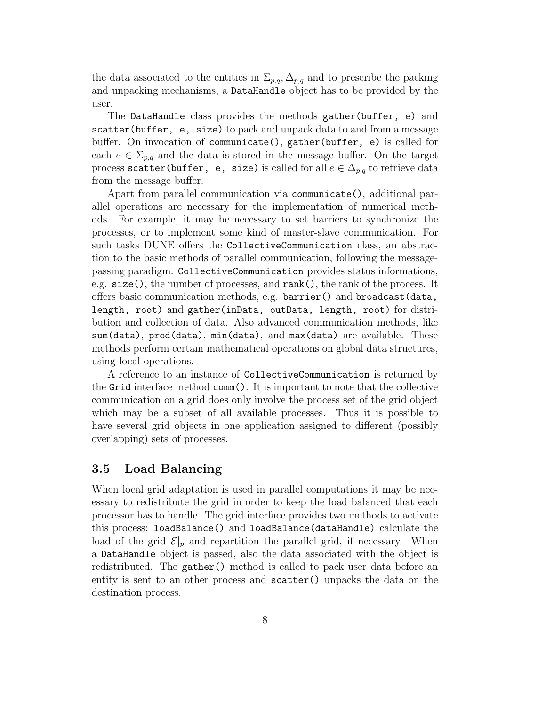the data associated to the entities in  $\Sigma_{p,q}$ ,  $\Delta_{p,q}$  and to prescribe the packing and unpacking mechanisms, a DataHandle object has to be provided by the user.

The DataHandle class provides the methods gather(buffer, e) and scatter(buffer, e, size) to pack and unpack data to and from a message buffer. On invocation of communicate(), gather(buffer, e) is called for each  $e \in \Sigma_{p,q}$  and the data is stored in the message buffer. On the target process scatter(buffer, e, size) is called for all  $e \in \Delta_{p,q}$  to retrieve data from the message buffer.

Apart from parallel communication via communicate(), additional parallel operations are necessary for the implementation of numerical methods. For example, it may be necessary to set barriers to synchronize the processes, or to implement some kind of master-slave communication. For such tasks DUNE offers the CollectiveCommunication class, an abstraction to the basic methods of parallel communication, following the messagepassing paradigm. CollectiveCommunication provides status informations, e.g. size(), the number of processes, and rank(), the rank of the process. It offers basic communication methods, e.g. barrier() and broadcast(data, length, root) and gather(inData, outData, length, root) for distribution and collection of data. Also advanced communication methods, like sum(data), prod(data), min(data), and max(data) are available. These methods perform certain mathematical operations on global data structures, using local operations.

A reference to an instance of CollectiveCommunication is returned by the Grid interface method comm(). It is important to note that the collective communication on a grid does only involve the process set of the grid object which may be a subset of all available processes. Thus it is possible to have several grid objects in one application assigned to different (possibly overlapping) sets of processes.

#### **3.5 Load Balancing**

When local grid adaptation is used in parallel computations it may be necessary to redistribute the grid in order to keep the load balanced that each processor has to handle. The grid interface provides two methods to activate this process: loadBalance() and loadBalance(dataHandle) calculate the load of the grid  $\mathcal{E}|_p$  and repartition the parallel grid, if necessary. When a DataHandle object is passed, also the data associated with the object is redistributed. The gather() method is called to pack user data before an entity is sent to an other process and scatter() unpacks the data on the destination process.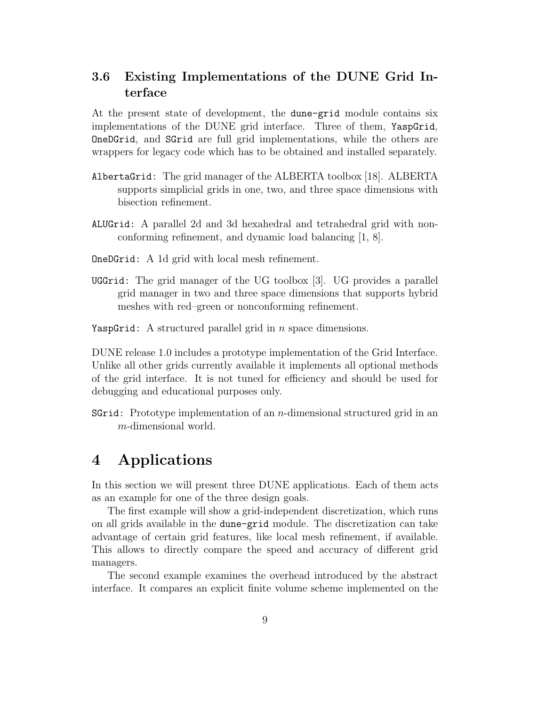### **3.6 Existing Implementations of the DUNE Grid Interface**

At the present state of development, the dune-grid module contains six implementations of the DUNE grid interface. Three of them, YaspGrid, OneDGrid, and SGrid are full grid implementations, while the others are wrappers for legacy code which has to be obtained and installed separately.

- AlbertaGrid: The grid manager of the ALBERTA toolbox [18]. ALBERTA supports simplicial grids in one, two, and three space dimensions with bisection refinement.
- ALUGrid: A parallel 2d and 3d hexahedral and tetrahedral grid with nonconforming refinement, and dynamic load balancing [1, 8].
- OneDGrid: A 1d grid with local mesh refinement.
- UGGrid: The grid manager of the UG toolbox [3]. UG provides a parallel grid manager in two and three space dimensions that supports hybrid meshes with red–green or nonconforming refinement.
- YaspGrid: A structured parallel grid in  $n$  space dimensions.

DUNE release 1.0 includes a prototype implementation of the Grid Interface. Unlike all other grids currently available it implements all optional methods of the grid interface. It is not tuned for efficiency and should be used for debugging and educational purposes only.

SGrid: Prototype implementation of an n-dimensional structured grid in an m-dimensional world.

# **4 Applications**

In this section we will present three DUNE applications. Each of them acts as an example for one of the three design goals.

The first example will show a grid-independent discretization, which runs on all grids available in the dune-grid module. The discretization can take advantage of certain grid features, like local mesh refinement, if available. This allows to directly compare the speed and accuracy of different grid managers.

The second example examines the overhead introduced by the abstract interface. It compares an explicit finite volume scheme implemented on the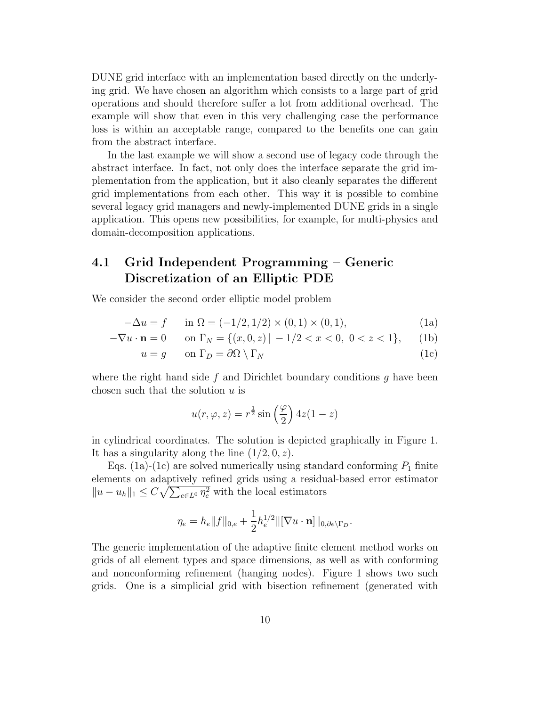DUNE grid interface with an implementation based directly on the underlying grid. We have chosen an algorithm which consists to a large part of grid operations and should therefore suffer a lot from additional overhead. The example will show that even in this very challenging case the performance loss is within an acceptable range, compared to the benefits one can gain from the abstract interface.

In the last example we will show a second use of legacy code through the abstract interface. In fact, not only does the interface separate the grid implementation from the application, but it also cleanly separates the different grid implementations from each other. This way it is possible to combine several legacy grid managers and newly-implemented DUNE grids in a single application. This opens new possibilities, for example, for multi-physics and domain-decomposition applications.

### **4.1 Grid Independent Programming – Generic Discretization of an Elliptic PDE**

We consider the second order elliptic model problem

$$
-\Delta u = f \quad \text{in } \Omega = (-1/2, 1/2) \times (0, 1) \times (0, 1), \tag{1a}
$$

$$
-\nabla u \cdot \mathbf{n} = 0 \qquad \text{on } \Gamma_N = \{(x, 0, z) \mid -1/2 < x < 0, \ 0 < z < 1\},\tag{1b}
$$

$$
u = g \qquad \text{on } \Gamma_D = \partial\Omega \setminus \Gamma_N \tag{1c}
$$

where the right hand side  $f$  and Dirichlet boundary conditions  $g$  have been chosen such that the solution  $u$  is

$$
u(r, \varphi, z) = r^{\frac{1}{2}} \sin\left(\frac{\varphi}{2}\right) 4z(1-z)
$$

in cylindrical coordinates. The solution is depicted graphically in Figure 1. It has a singularity along the line  $(1/2, 0, z)$ .

Eqs. (1a)-(1c) are solved numerically using standard conforming  $P_1$  finite elements on adaptively refined grids using a residual-based error estimator  $||u - u_h||_1 \leq C \sqrt{\sum_{e \in L^0} \eta_e^2}$  with the local estimators

$$
\eta_e = h_e \|f\|_{0,e} + \frac{1}{2} h_e^{1/2} \|[\nabla u \cdot \mathbf{n}]\|_{0,\partial e \setminus \Gamma_D}.
$$

The generic implementation of the adaptive finite element method works on grids of all element types and space dimensions, as well as with conforming and nonconforming refinement (hanging nodes). Figure 1 shows two such grids. One is a simplicial grid with bisection refinement (generated with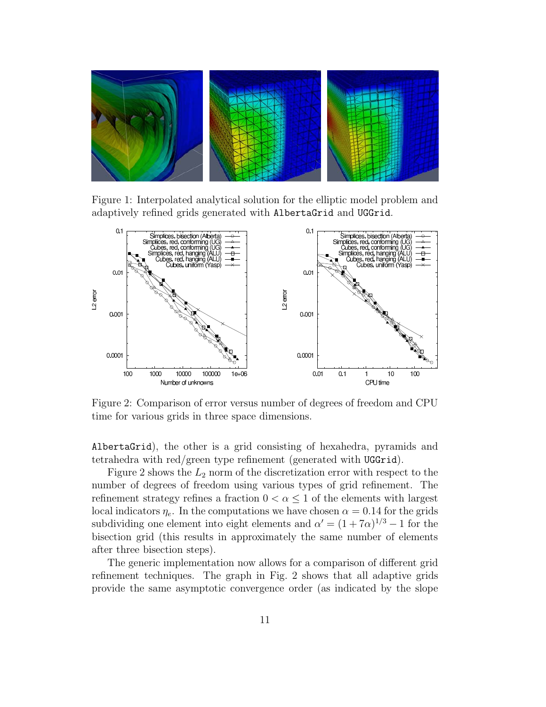

Figure 1: Interpolated analytical solution for the elliptic model problem and adaptively refined grids generated with AlbertaGrid and UGGrid.



Figure 2: Comparison of error versus number of degrees of freedom and CPU time for various grids in three space dimensions.

AlbertaGrid), the other is a grid consisting of hexahedra, pyramids and tetrahedra with red/green type refinement (generated with UGGrid).

Figure 2 shows the  $L_2$  norm of the discretization error with respect to the number of degrees of freedom using various types of grid refinement. The refinement strategy refines a fraction  $0 < \alpha \leq 1$  of the elements with largest local indicators  $\eta_e$ . In the computations we have chosen  $\alpha = 0.14$  for the grids subdividing one element into eight elements and  $\alpha' = (1 + 7\alpha)^{1/3} - 1$  for the bisection grid (this results in approximately the same number of elements after three bisection steps).

The generic implementation now allows for a comparison of different grid refinement techniques. The graph in Fig. 2 shows that all adaptive grids provide the same asymptotic convergence order (as indicated by the slope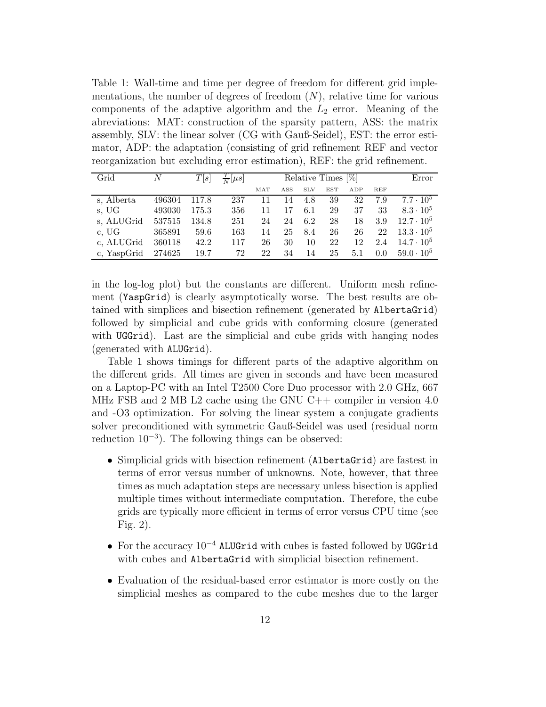Table 1: Wall-time and time per degree of freedom for different grid implementations, the number of degrees of freedom  $(N)$ , relative time for various components of the adaptive algorithm and the  $L_2$  error. Meaning of the abreviations: MAT: construction of the sparsity pattern, ASS: the matrix assembly, SLV: the linear solver (CG with Gauß-Seidel), EST: the error estimator, ADP: the adaptation (consisting of grid refinement REF and vector reorganization but excluding error estimation), REF: the grid refinement.

| Grid        | N      | T[s]  | $\frac{1}{N} \mu s $ | Relative Times [%] |     |            |            | Error |            |                     |
|-------------|--------|-------|----------------------|--------------------|-----|------------|------------|-------|------------|---------------------|
|             |        |       |                      | MAT                | ASS | <b>SLV</b> | <b>EST</b> | ADP   | <b>REF</b> |                     |
| s, Alberta  | 496304 | 117.8 | 237                  | 11                 | 14  | 4.8        | 39         | 32    | 7.9        | $77 \cdot 10^{5}$   |
| s, UG       | 493030 | 175.3 | 356                  | 11                 | 17  | 6.1        | 29         | 37    | 33         | $8.3 \cdot 10^5$    |
| s, ALUGrid  | 537515 | 134.8 | 251                  | 24                 | 24  | 6.2        | 28         | 18    | 3.9        | $12.7 \cdot 10^5$   |
| c. UG       | 365891 | 59.6  | 163                  | 14                 | 25  | 8.4        | 26         | 26    | 22         | $13.3 \cdot 10^5$   |
| c, ALUGrid  | 360118 | 42.2  | 117                  | 26                 | 30  | 10         | 22         | 12    | 2.4        | $14.7 \cdot 10^5$   |
| c, YaspGrid | 274625 | 19.7  | 72                   | 22                 | 34  | 14         | 25         | 5.1   | 0.0        | $59.0 \cdot 10^{5}$ |

in the log-log plot) but the constants are different. Uniform mesh refinement (YaspGrid) is clearly asymptotically worse. The best results are obtained with simplices and bisection refinement (generated by AlbertaGrid) followed by simplicial and cube grids with conforming closure (generated with UGGrid). Last are the simplicial and cube grids with hanging nodes (generated with ALUGrid).

Table 1 shows timings for different parts of the adaptive algorithm on the different grids. All times are given in seconds and have been measured on a Laptop-PC with an Intel T2500 Core Duo processor with 2.0 GHz, 667 MHz FSB and 2 MB L2 cache using the GNU  $C++$  compiler in version 4.0 and -O3 optimization. For solving the linear system a conjugate gradients solver preconditioned with symmetric Gauß-Seidel was used (residual norm reduction 10−<sup>3</sup>). The following things can be observed:

- Simplicial grids with bisection refinement (AlbertaGrid) are fastest in terms of error versus number of unknowns. Note, however, that three times as much adaptation steps are necessary unless bisection is applied multiple times without intermediate computation. Therefore, the cube grids are typically more efficient in terms of error versus CPU time (see Fig. 2).
- For the accuracy 10−<sup>4</sup> ALUGrid with cubes is fasted followed by UGGrid with cubes and AlbertaGrid with simplicial bisection refinement.
- Evaluation of the residual-based error estimator is more costly on the simplicial meshes as compared to the cube meshes due to the larger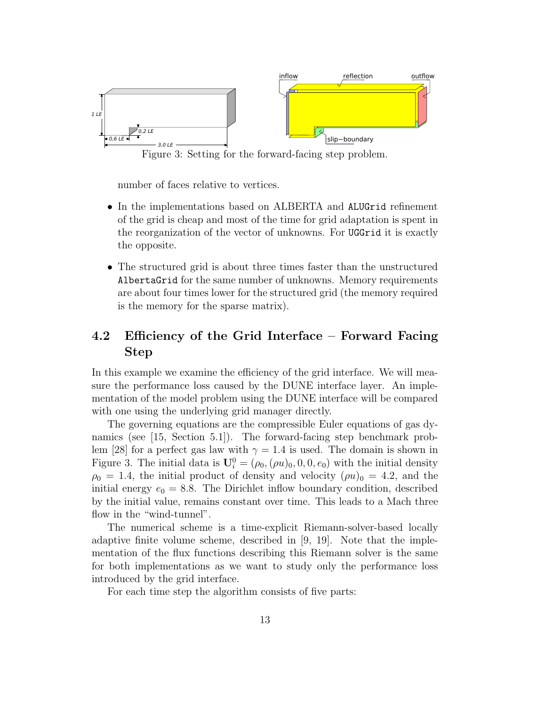

Figure 3: Setting for the forward-facing step problem.

number of faces relative to vertices.

- In the implementations based on ALBERTA and ALUGrid refinement of the grid is cheap and most of the time for grid adaptation is spent in the reorganization of the vector of unknowns. For UGGrid it is exactly the opposite.
- The structured grid is about three times faster than the unstructured AlbertaGrid for the same number of unknowns. Memory requirements are about four times lower for the structured grid (the memory required is the memory for the sparse matrix).

### **4.2 Efficiency of the Grid Interface – Forward Facing Step**

In this example we examine the efficiency of the grid interface. We will measure the performance loss caused by the DUNE interface layer. An implementation of the model problem using the DUNE interface will be compared with one using the underlying grid manager directly.

The governing equations are the compressible Euler equations of gas dynamics (see [15, Section 5.1]). The forward-facing step benchmark problem [28] for a perfect gas law with  $\gamma = 1.4$  is used. The domain is shown in Figure 3. The initial data is  $\mathbf{U}_i^0 = (\rho_0, (\rho u)_0, 0, 0, e_0)$  with the initial density  $\rho_0 = 1.4$ , the initial product of density and velocity  $(\rho u)_0 = 4.2$ , and the initial energy  $e_0 = 8.8$ . The Dirichlet inflow boundary condition, described by the initial value, remains constant over time. This leads to a Mach three flow in the "wind-tunnel".

The numerical scheme is a time-explicit Riemann-solver-based locally adaptive finite volume scheme, described in [9, 19]. Note that the implementation of the flux functions describing this Riemann solver is the same for both implementations as we want to study only the performance loss introduced by the grid interface.

For each time step the algorithm consists of five parts: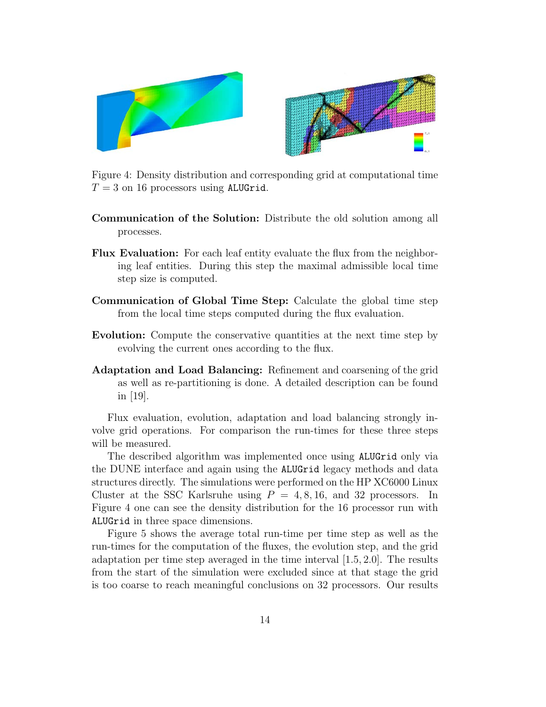



Figure 4: Density distribution and corresponding grid at computational time  $T = 3$  on 16 processors using ALUGrid.

- **Communication of the Solution:** Distribute the old solution among all processes.
- **Flux Evaluation:** For each leaf entity evaluate the flux from the neighboring leaf entities. During this step the maximal admissible local time step size is computed.
- **Communication of Global Time Step:** Calculate the global time step from the local time steps computed during the flux evaluation.
- **Evolution:** Compute the conservative quantities at the next time step by evolving the current ones according to the flux.
- **Adaptation and Load Balancing:** Refinement and coarsening of the grid as well as re-partitioning is done. A detailed description can be found in [19].

Flux evaluation, evolution, adaptation and load balancing strongly involve grid operations. For comparison the run-times for these three steps will be measured.

The described algorithm was implemented once using ALUGrid only via the DUNE interface and again using the ALUGrid legacy methods and data structures directly. The simulations were performed on the HP XC6000 Linux Cluster at the SSC Karlsruhe using  $P = 4, 8, 16,$  and 32 processors. In Figure 4 one can see the density distribution for the 16 processor run with ALUGrid in three space dimensions.

Figure 5 shows the average total run-time per time step as well as the run-times for the computation of the fluxes, the evolution step, and the grid adaptation per time step averaged in the time interval [1.5, 2.0]. The results from the start of the simulation were excluded since at that stage the grid is too coarse to reach meaningful conclusions on 32 processors. Our results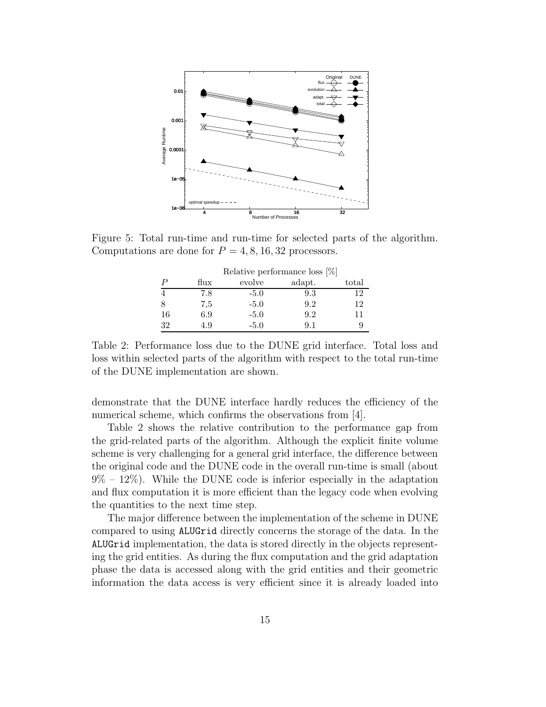

Figure 5: Total run-time and run-time for selected parts of the algorithm. Computations are done for  $P = 4, 8, 16, 32$  processors.

|                  | Relative performance loss [%] |        |        |       |  |  |  |
|------------------|-------------------------------|--------|--------|-------|--|--|--|
| $\boldsymbol{P}$ | flux                          | evolve | adapt. | total |  |  |  |
| $\overline{4}$   | 7.8                           | $-5.0$ | 9.3    | 12    |  |  |  |
| 8                | 7,5                           | $-5.0$ | 9.2    | 12    |  |  |  |
| 16               | 6.9                           | $-5.0$ | 9.2    | 11    |  |  |  |
| 32               | 4.9                           | $-5.0$ | 9 T    |       |  |  |  |

Table 2: Performance loss due to the DUNE grid interface. Total loss and loss within selected parts of the algorithm with respect to the total run-time of the DUNE implementation are shown.

demonstrate that the DUNE interface hardly reduces the efficiency of the numerical scheme, which confirms the observations from [4].

Table 2 shows the relative contribution to the performance gap from the grid-related parts of the algorithm. Although the explicit finite volume scheme is very challenging for a general grid interface, the difference between the original code and the DUNE code in the overall run-time is small (about  $9\% - 12\%$ ). While the DUNE code is inferior especially in the adaptation and flux computation it is more efficient than the legacy code when evolving the quantities to the next time step.

The major difference between the implementation of the scheme in DUNE compared to using ALUGrid directly concerns the storage of the data. In the ALUGrid implementation, the data is stored directly in the objects representing the grid entities. As during the flux computation and the grid adaptation phase the data is accessed along with the grid entities and their geometric information the data access is very efficient since it is already loaded into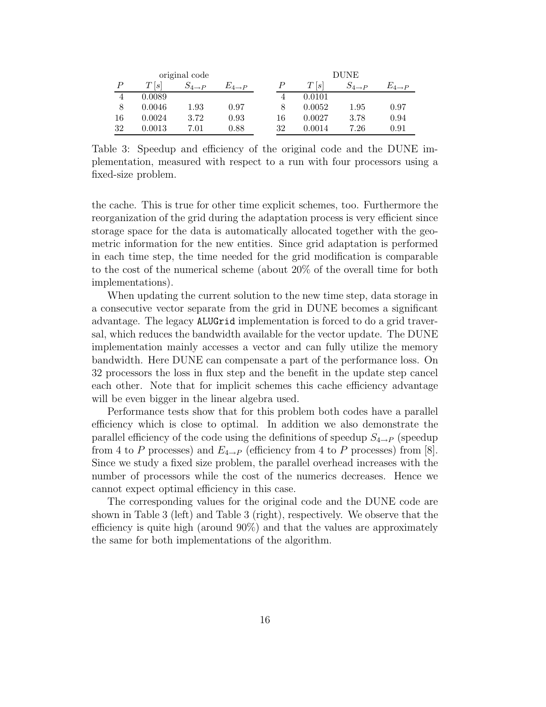| original code    |        |                      |                      | <b>DUNE</b> |         |                      |                      |  |
|------------------|--------|----------------------|----------------------|-------------|---------|----------------------|----------------------|--|
| $\boldsymbol{P}$ | s      | $S_{4\rightarrow P}$ | $E_{4\rightarrow P}$ |             | T<br> s | $S_{4\rightarrow P}$ | $E_{4\rightarrow P}$ |  |
| 4                | 0.0089 |                      |                      |             | 0.0101  |                      |                      |  |
| 8                | 0.0046 | 1.93                 | 0.97                 | 8           | 0.0052  | 1.95                 | 0.97                 |  |
| 16               | 0.0024 | 3.72                 | 0.93                 | 16          | 0.0027  | 3.78                 | 0.94                 |  |
| 32               | 0.0013 | 7.01                 | 0.88                 | 32          | 0.0014  | 7.26                 | 0.91                 |  |

Table 3: Speedup and efficiency of the original code and the DUNE implementation, measured with respect to a run with four processors using a fixed-size problem.

the cache. This is true for other time explicit schemes, too. Furthermore the reorganization of the grid during the adaptation process is very efficient since storage space for the data is automatically allocated together with the geometric information for the new entities. Since grid adaptation is performed in each time step, the time needed for the grid modification is comparable to the cost of the numerical scheme (about 20% of the overall time for both implementations).

When updating the current solution to the new time step, data storage in a consecutive vector separate from the grid in DUNE becomes a significant advantage. The legacy ALUGrid implementation is forced to do a grid traversal, which reduces the bandwidth available for the vector update. The DUNE implementation mainly accesses a vector and can fully utilize the memory bandwidth. Here DUNE can compensate a part of the performance loss. On 32 processors the loss in flux step and the benefit in the update step cancel each other. Note that for implicit schemes this cache efficiency advantage will be even bigger in the linear algebra used.

Performance tests show that for this problem both codes have a parallel efficiency which is close to optimal. In addition we also demonstrate the parallel efficiency of the code using the definitions of speedup  $S_{4\rightarrow P}$  (speedup from 4 to P processes) and  $E_{4\rightarrow P}$  (efficiency from 4 to P processes) from [8]. Since we study a fixed size problem, the parallel overhead increases with the number of processors while the cost of the numerics decreases. Hence we cannot expect optimal efficiency in this case.

The corresponding values for the original code and the DUNE code are shown in Table 3 (left) and Table 3 (right), respectively. We observe that the efficiency is quite high (around 90%) and that the values are approximately the same for both implementations of the algorithm.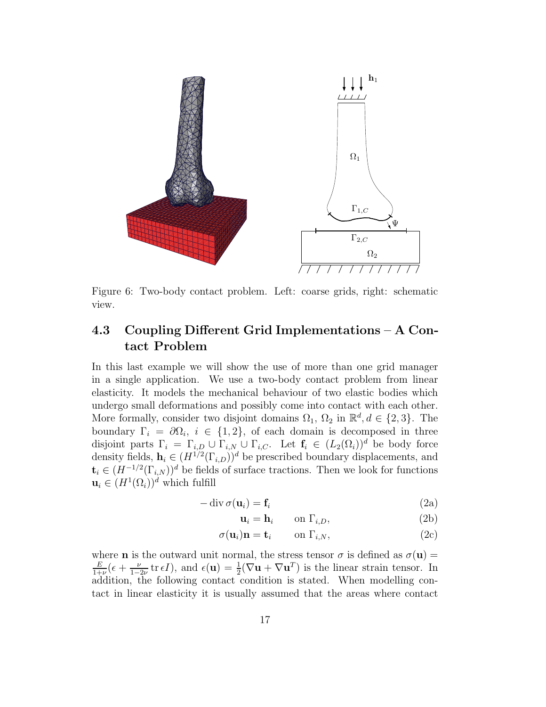

Figure 6: Two-body contact problem. Left: coarse grids, right: schematic view.

### **4.3 Coupling Different Grid Implementations – A Contact Problem**

In this last example we will show the use of more than one grid manager in a single application. We use a two-body contact problem from linear elasticity. It models the mechanical behaviour of two elastic bodies which undergo small deformations and possibly come into contact with each other. More formally, consider two disjoint domains  $\Omega_1$ ,  $\Omega_2$  in  $\mathbb{R}^d$ ,  $d \in \{2,3\}$ . The boundary  $\Gamma_i = \partial \Omega_i$ ,  $i \in \{1, 2\}$ , of each domain is decomposed in three disjoint parts  $\Gamma_i = \Gamma_{i,D} \cup \Gamma_{i,N} \cup \Gamma_{i,C}$ . Let  $\mathbf{f}_i \in (L_2(\Omega_i))^d$  be body force density fields,  $\mathbf{h}_i \in (H^{1/2}(\Gamma_{i,D}))^d$  be prescribed boundary displacements, and  $\mathbf{t}_i \in (H^{-1/2}(\Gamma_{i,N}))^d$  be fields of surface tractions. Then we look for functions  $\mathbf{u}_i \in (H^1(\Omega_i))^d$  which fulfill

$$
-\operatorname{div}\sigma(\mathbf{u}_i) = \mathbf{f}_i \tag{2a}
$$

$$
\mathbf{u}_i = \mathbf{h}_i \qquad \text{on } \Gamma_{i,D}, \tag{2b}
$$

$$
\sigma(\mathbf{u}_i)\mathbf{n} = \mathbf{t}_i \qquad \text{on } \Gamma_{i,N}, \tag{2c}
$$

where **n** is the outward unit normal, the stress tensor  $\sigma$  is defined as  $\sigma(\mathbf{u}) =$  $\frac{E}{1+\nu}$  ( $\epsilon + \frac{\nu}{1-2\nu}$  tr  $\epsilon I$ ), and  $\epsilon(\mathbf{u}) = \frac{1}{2}(\nabla \mathbf{u} + \nabla \mathbf{u}^T)$  is the linear strain tensor. In addition, the following contact condition is stated. When modelling contact in linear elasticity it is usually assumed that the areas where contact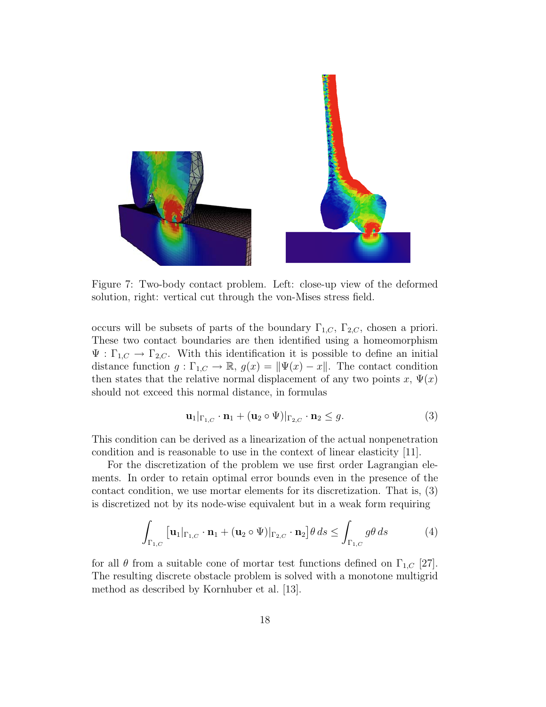

Figure 7: Two-body contact problem. Left: close-up view of the deformed solution, right: vertical cut through the von-Mises stress field.

occurs will be subsets of parts of the boundary  $\Gamma_{1,C}$ ,  $\Gamma_{2,C}$ , chosen a priori. These two contact boundaries are then identified using a homeomorphism  $\Psi : \Gamma_{1,C} \to \Gamma_{2,C}$ . With this identification it is possible to define an initial distance function  $g : \Gamma_{1,C} \to \mathbb{R}$ ,  $g(x) = ||\Psi(x) - x||$ . The contact condition then states that the relative normal displacement of any two points x,  $\Psi(x)$ should not exceed this normal distance, in formulas

$$
\mathbf{u}_1|_{\Gamma_{1,C}} \cdot \mathbf{n}_1 + (\mathbf{u}_2 \circ \Psi)|_{\Gamma_{2,C}} \cdot \mathbf{n}_2 \le g. \tag{3}
$$

This condition can be derived as a linearization of the actual nonpenetration condition and is reasonable to use in the context of linear elasticity [11].

For the discretization of the problem we use first order Lagrangian elements. In order to retain optimal error bounds even in the presence of the contact condition, we use mortar elements for its discretization. That is, (3) is discretized not by its node-wise equivalent but in a weak form requiring

$$
\int_{\Gamma_{1,C}} \left[ \mathbf{u}_1 |_{\Gamma_{1,C}} \cdot \mathbf{n}_1 + (\mathbf{u}_2 \circ \Psi)|_{\Gamma_{2,C}} \cdot \mathbf{n}_2 \right] \theta \, ds \le \int_{\Gamma_{1,C}} g \theta \, ds \tag{4}
$$

for all  $\theta$  from a suitable cone of mortar test functions defined on  $\Gamma_{1,C}$  [27]. The resulting discrete obstacle problem is solved with a monotone multigrid method as described by Kornhuber et al. [13].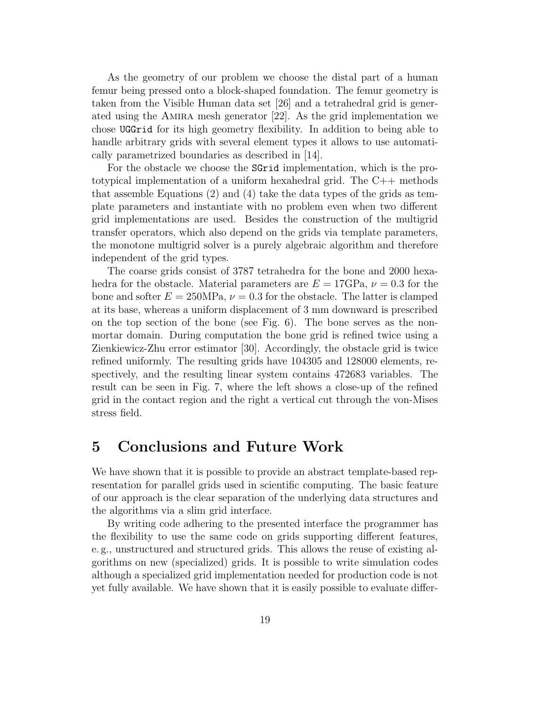As the geometry of our problem we choose the distal part of a human femur being pressed onto a block-shaped foundation. The femur geometry is taken from the Visible Human data set [26] and a tetrahedral grid is generated using the Amira mesh generator [22]. As the grid implementation we chose UGGrid for its high geometry flexibility. In addition to being able to handle arbitrary grids with several element types it allows to use automatically parametrized boundaries as described in [14].

For the obstacle we choose the SGrid implementation, which is the prototypical implementation of a uniform hexahedral grid. The C++ methods that assemble Equations (2) and (4) take the data types of the grids as template parameters and instantiate with no problem even when two different grid implementations are used. Besides the construction of the multigrid transfer operators, which also depend on the grids via template parameters, the monotone multigrid solver is a purely algebraic algorithm and therefore independent of the grid types.

The coarse grids consist of 3787 tetrahedra for the bone and 2000 hexahedra for the obstacle. Material parameters are  $E = 17GPa$ ,  $\nu = 0.3$  for the bone and softer  $E = 250 \text{MPa}$ ,  $\nu = 0.3$  for the obstacle. The latter is clamped at its base, whereas a uniform displacement of 3 mm downward is prescribed on the top section of the bone (see Fig. 6). The bone serves as the nonmortar domain. During computation the bone grid is refined twice using a Zienkiewicz-Zhu error estimator [30]. Accordingly, the obstacle grid is twice refined uniformly. The resulting grids have 104305 and 128000 elements, respectively, and the resulting linear system contains 472683 variables. The result can be seen in Fig. 7, where the left shows a close-up of the refined grid in the contact region and the right a vertical cut through the von-Mises stress field.

## **5 Conclusions and Future Work**

We have shown that it is possible to provide an abstract template-based representation for parallel grids used in scientific computing. The basic feature of our approach is the clear separation of the underlying data structures and the algorithms via a slim grid interface.

By writing code adhering to the presented interface the programmer has the flexibility to use the same code on grids supporting different features, e. g., unstructured and structured grids. This allows the reuse of existing algorithms on new (specialized) grids. It is possible to write simulation codes although a specialized grid implementation needed for production code is not yet fully available. We have shown that it is easily possible to evaluate differ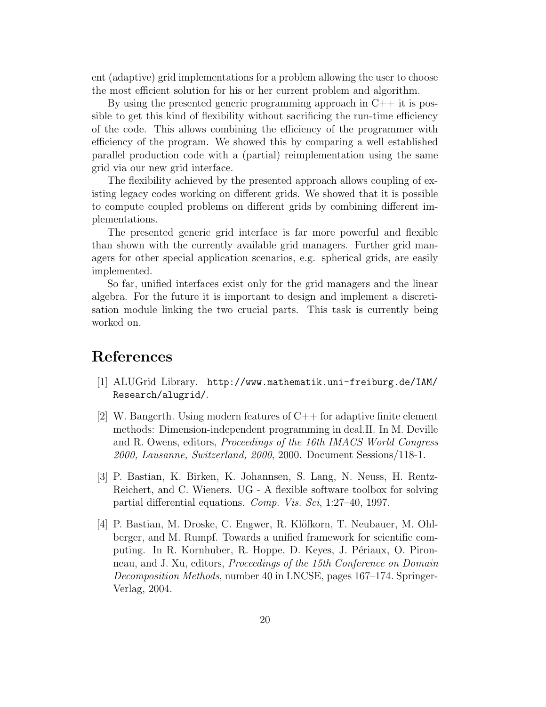ent (adaptive) grid implementations for a problem allowing the user to choose the most efficient solution for his or her current problem and algorithm.

By using the presented generic programming approach in  $C++i$  it is possible to get this kind of flexibility without sacrificing the run-time efficiency of the code. This allows combining the efficiency of the programmer with efficiency of the program. We showed this by comparing a well established parallel production code with a (partial) reimplementation using the same grid via our new grid interface.

The flexibility achieved by the presented approach allows coupling of existing legacy codes working on different grids. We showed that it is possible to compute coupled problems on different grids by combining different implementations.

The presented generic grid interface is far more powerful and flexible than shown with the currently available grid managers. Further grid managers for other special application scenarios, e.g. spherical grids, are easily implemented.

So far, unified interfaces exist only for the grid managers and the linear algebra. For the future it is important to design and implement a discretisation module linking the two crucial parts. This task is currently being worked on.

# **References**

- [1] ALUGrid Library. http://www.mathematik.uni-freiburg.de/IAM/ Research/alugrid/.
- [2] W. Bangerth. Using modern features of C++ for adaptive finite element methods: Dimension-independent programming in deal.II. In M. Deville and R. Owens, editors, Proceedings of the 16th IMACS World Congress 2000, Lausanne, Switzerland, 2000, 2000. Document Sessions/118-1.
- [3] P. Bastian, K. Birken, K. Johannsen, S. Lang, N. Neuss, H. Rentz-Reichert, and C. Wieners. UG - A flexible software toolbox for solving partial differential equations. Comp. Vis. Sci, 1:27–40, 1997.
- [4] P. Bastian, M. Droske, C. Engwer, R. Klöfkorn, T. Neubauer, M. Ohlberger, and M. Rumpf. Towards a unified framework for scientific computing. In R. Kornhuber, R. Hoppe, D. Keyes, J. Périaux, O. Pironneau, and J. Xu, editors, Proceedings of the 15th Conference on Domain Decomposition Methods, number 40 in LNCSE, pages 167–174. Springer-Verlag, 2004.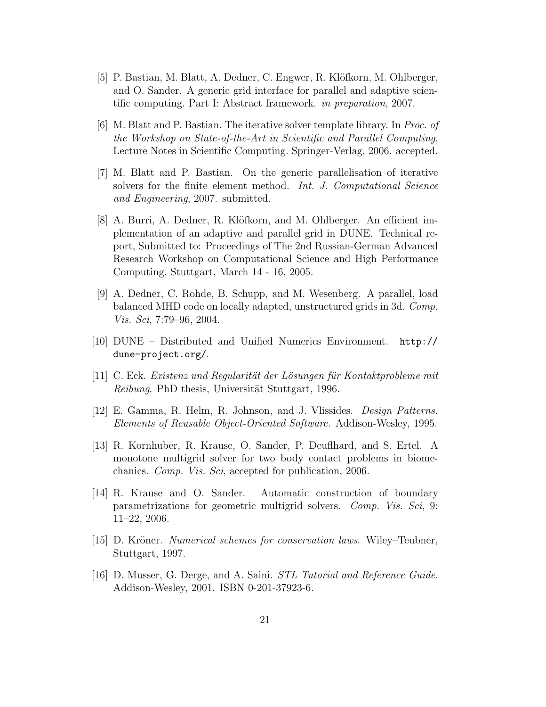- [5] P. Bastian, M. Blatt, A. Dedner, C. Engwer, R. Klöfkorn, M. Ohlberger, and O. Sander. A generic grid interface for parallel and adaptive scientific computing. Part I: Abstract framework. in preparation, 2007.
- [6] M. Blatt and P. Bastian. The iterative solver template library. In Proc. of the Workshop on State-of-the-Art in Scientific and Parallel Computing, Lecture Notes in Scientific Computing. Springer-Verlag, 2006. accepted.
- [7] M. Blatt and P. Bastian. On the generic parallelisation of iterative solvers for the finite element method. Int. J. Computational Science and Engineering, 2007. submitted.
- [8] A. Burri, A. Dedner, R. Klöfkorn, and M. Ohlberger. An efficient implementation of an adaptive and parallel grid in DUNE. Technical report, Submitted to: Proceedings of The 2nd Russian-German Advanced Research Workshop on Computational Science and High Performance Computing, Stuttgart, March 14 - 16, 2005.
- [9] A. Dedner, C. Rohde, B. Schupp, and M. Wesenberg. A parallel, load balanced MHD code on locally adapted, unstructured grids in 3d. Comp. Vis. Sci, 7:79–96, 2004.
- [10] DUNE Distributed and Unified Numerics Environment. http:// dune-project.org/.
- [11] C. Eck. Existenz und Regularität der Lösungen für Kontaktprobleme mit Reibung. PhD thesis, Universität Stuttgart, 1996.
- [12] E. Gamma, R. Helm, R. Johnson, and J. Vlissides. Design Patterns. Elements of Reusable Object-Oriented Software. Addison-Wesley, 1995.
- [13] R. Kornhuber, R. Krause, O. Sander, P. Deuflhard, and S. Ertel. A monotone multigrid solver for two body contact problems in biomechanics. Comp. Vis. Sci, accepted for publication, 2006.
- [14] R. Krause and O. Sander. Automatic construction of boundary parametrizations for geometric multigrid solvers. Comp. Vis. Sci, 9: 11–22, 2006.
- [15] D. Kröner. *Numerical schemes for conservation laws.* Wiley–Teubner, Stuttgart, 1997.
- [16] D. Musser, G. Derge, and A. Saini. STL Tutorial and Reference Guide. Addison-Wesley, 2001. ISBN 0-201-37923-6.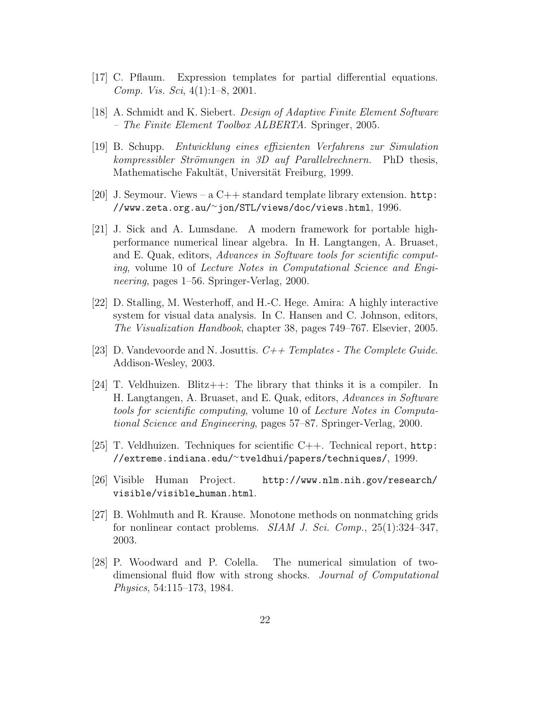- [17] C. Pflaum. Expression templates for partial differential equations. Comp. Vis. Sci, 4(1):1–8, 2001.
- [18] A. Schmidt and K. Siebert. *Design of Adaptive Finite Element Software* – The Finite Element Toolbox ALBERTA. Springer, 2005.
- [19] B. Schupp. Entwicklung eines effizienten Verfahrens zur Simulation kompressibler Strömungen in 3D auf Parallelrechnern. PhD thesis, Mathematische Fakultät, Universität Freiburg, 1999.
- [20] J. Seymour. Views a  $C++$  standard template library extension. http: //www.zeta.org.au/∼jon/STL/views/doc/views.html, 1996.
- [21] J. Sick and A. Lumsdane. A modern framework for portable highperformance numerical linear algebra. In H. Langtangen, A. Bruaset, and E. Quak, editors, Advances in Software tools for scientific computing, volume 10 of Lecture Notes in Computational Science and Engineering, pages 1–56. Springer-Verlag, 2000.
- [22] D. Stalling, M. Westerhoff, and H.-C. Hege. Amira: A highly interactive system for visual data analysis. In C. Hansen and C. Johnson, editors, The Visualization Handbook, chapter 38, pages 749–767. Elsevier, 2005.
- [23] D. Vandevoorde and N. Josuttis.  $C++$  Templates The Complete Guide. Addison-Wesley, 2003.
- [24] T. Veldhuizen. Blitz++: The library that thinks it is a compiler. In H. Langtangen, A. Bruaset, and E. Quak, editors, Advances in Software tools for scientific computing, volume 10 of Lecture Notes in Computational Science and Engineering, pages 57–87. Springer-Verlag, 2000.
- [25] T. Veldhuizen. Techniques for scientific C++. Technical report, http: //extreme.indiana.edu/∼tveldhui/papers/techniques/, 1999.
- [26] Visible Human Project. http://www.nlm.nih.gov/research/ visible/visible human.html.
- [27] B. Wohlmuth and R. Krause. Monotone methods on nonmatching grids for nonlinear contact problems. SIAM J. Sci. Comp., 25(1):324–347, 2003.
- [28] P. Woodward and P. Colella. The numerical simulation of twodimensional fluid flow with strong shocks. Journal of Computational Physics, 54:115–173, 1984.